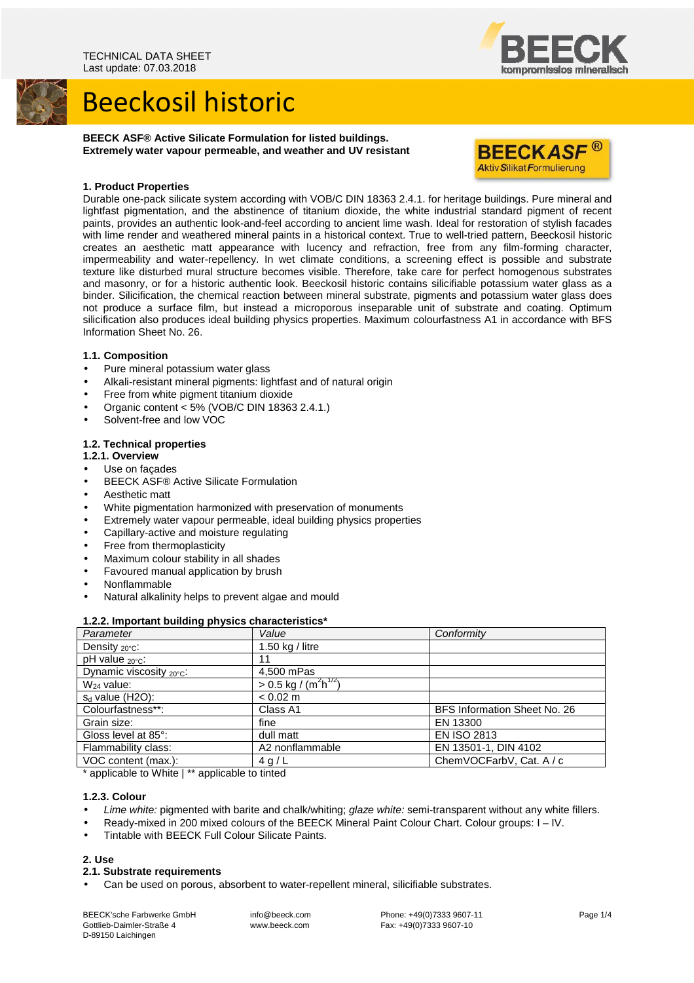

# Beeckosil historic

**BEECK ASF® Active Silicate Formulation for listed buildings. Extremely water vapour permeable, and weather and UV resistant** 



## **1. Product Properties**

Durable one-pack silicate system according with VOB/C DIN 18363 2.4.1. for heritage buildings. Pure mineral and lightfast pigmentation, and the abstinence of titanium dioxide, the white industrial standard pigment of recent paints, provides an authentic look-and-feel according to ancient lime wash. Ideal for restoration of stylish facades with lime render and weathered mineral paints in a historical context. True to well-tried pattern, Beeckosil historic creates an aesthetic matt appearance with lucency and refraction, free from any film-forming character, impermeability and water-repellency. In wet climate conditions, a screening effect is possible and substrate texture like disturbed mural structure becomes visible. Therefore, take care for perfect homogenous substrates and masonry, or for a historic authentic look. Beeckosil historic contains silicifiable potassium water glass as a binder. Silicification, the chemical reaction between mineral substrate, pigments and potassium water glass does not produce a surface film, but instead a microporous inseparable unit of substrate and coating. Optimum silicification also produces ideal building physics properties. Maximum colourfastness A1 in accordance with BFS Information Sheet No. 26.

# **1.1. Composition**

- Pure mineral potassium water glass
- Alkali-resistant mineral pigments: lightfast and of natural origin
- Free from white pigment titanium dioxide
- Organic content < 5% (VOB/C DIN 18363 2.4.1.)
- Solvent-free and low VOC

# **1.2. Technical properties**

- **1.2.1. Overview**
- Use on facades
- BEECK ASF® Active Silicate Formulation
- Aesthetic matt
- White pigmentation harmonized with preservation of monuments
- Extremely water vapour permeable, ideal building physics properties
- Capillary-active and moisture regulating
- Free from thermoplasticity
- Maximum colour stability in all shades
- Favoured manual application by brush
- Nonflammable
- Natural alkalinity helps to prevent algae and mould

### **1.2.2. Important building physics characteristics\***

| Parameter                            | Value                                                   | Conformity                   |
|--------------------------------------|---------------------------------------------------------|------------------------------|
| Density $20^{\circ}$ C:              | 1.50 $kg /$ litre                                       |                              |
| pH value <sub>20°C</sub> :           | 11                                                      |                              |
| Dynamic viscosity $_{20^{\circ}C}$ : | 4,500 mPas                                              |                              |
| $W_{24}$ value:                      | $> 0.5 \text{ kg}$ / (m <sup>2</sup> h <sup>1/2</sup> ) |                              |
| $s_d$ value (H2O):                   | $< 0.02$ m                                              |                              |
| Colourfastness**:                    | Class A1                                                | BFS Information Sheet No. 26 |
| Grain size:                          | fine                                                    | EN 13300                     |
| Gloss level at 85°:                  | dull matt                                               | <b>EN ISO 2813</b>           |
| Flammability class:                  | A2 nonflammable                                         | EN 13501-1, DIN 4102         |
| VOC content (max.):                  | 4 g/L                                                   | ChemVOCFarbV, Cat. A / c     |

\* applicable to White | \*\* applicable to tinted

# **1.2.3. Colour**

- Lime white: pigmented with barite and chalk/whiting; glaze white: semi-transparent without any white fillers.
- Ready-mixed in 200 mixed colours of the BEECK Mineral Paint Colour Chart. Colour groups: I IV.
- Tintable with BEECK Full Colour Silicate Paints.

# **2. Use**

### **2.1. Substrate requirements**

• Can be used on porous, absorbent to water-repellent mineral, silicifiable substrates.

BEECK'sche Farbwerke GmbH Gottlieb-Daimler-Straße 4 D-89150 Laichingen

 info@beeck.com www.beeck.com

 Phone: +49(0)7333 9607-11 Fax: +49(0)7333 9607-10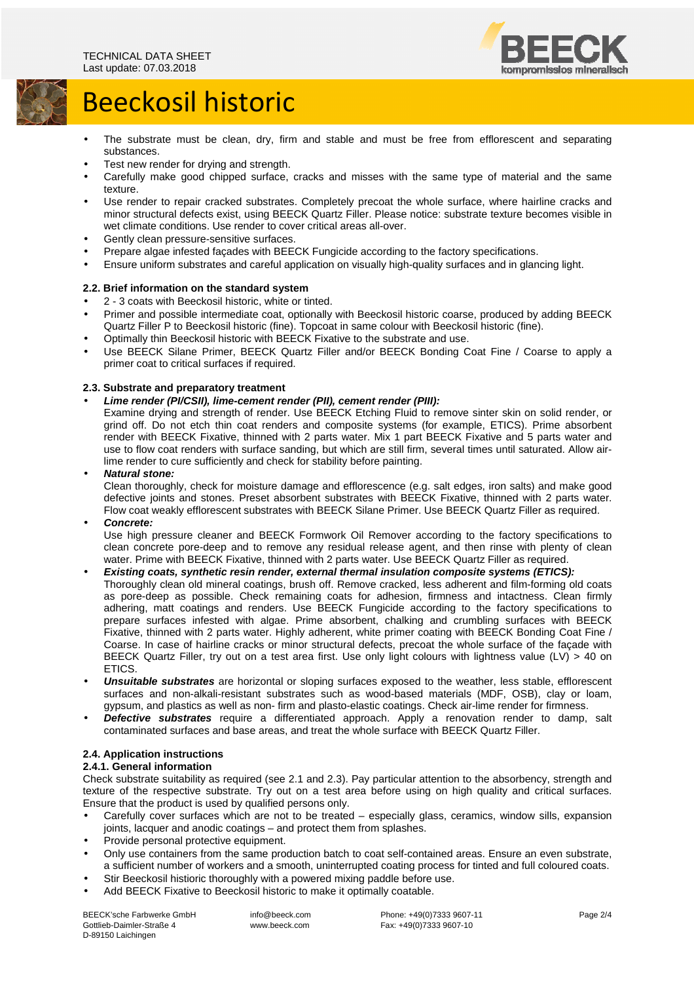

# Beeckosil historic

- The substrate must be clean, dry, firm and stable and must be free from efflorescent and separating substances.
- Test new render for drying and strength.
- Carefully make good chipped surface, cracks and misses with the same type of material and the same texture.
- Use render to repair cracked substrates. Completely precoat the whole surface, where hairline cracks and minor structural defects exist, using BEECK Quartz Filler. Please notice: substrate texture becomes visible in wet climate conditions. Use render to cover critical areas all-over.
- Gently clean pressure-sensitive surfaces.
- Prepare algae infested façades with BEECK Fungicide according to the factory specifications.
- Ensure uniform substrates and careful application on visually high-quality surfaces and in glancing light.

## **2.2. Brief information on the standard system**

- 2 3 coats with Beeckosil historic, white or tinted.
- Primer and possible intermediate coat, optionally with Beeckosil historic coarse, produced by adding BEECK Quartz Filler P to Beeckosil historic (fine). Topcoat in same colour with Beeckosil historic (fine).
- Optimally thin Beeckosil historic with BEECK Fixative to the substrate and use.
- Use BEECK Silane Primer, BEECK Quartz Filler and/or BEECK Bonding Coat Fine / Coarse to apply a primer coat to critical surfaces if required.

## **2.3. Substrate and preparatory treatment**

## • **Lime render (PI/CSII), lime-cement render (PII), cement render (PIII):**

Examine drying and strength of render. Use BEECK Etching Fluid to remove sinter skin on solid render, or grind off. Do not etch thin coat renders and composite systems (for example, ETICS). Prime absorbent render with BEECK Fixative, thinned with 2 parts water. Mix 1 part BEECK Fixative and 5 parts water and use to flow coat renders with surface sanding, but which are still firm, several times until saturated. Allow airlime render to cure sufficiently and check for stability before painting.

## • **Natural stone:**

Clean thoroughly, check for moisture damage and efflorescence (e.g. salt edges, iron salts) and make good defective joints and stones. Preset absorbent substrates with BEECK Fixative, thinned with 2 parts water. Flow coat weakly efflorescent substrates with BEECK Silane Primer. Use BEECK Quartz Filler as required.

### • **Concrete:**

Use high pressure cleaner and BEECK Formwork Oil Remover according to the factory specifications to clean concrete pore-deep and to remove any residual release agent, and then rinse with plenty of clean water. Prime with BEECK Fixative, thinned with 2 parts water. Use BEECK Quartz Filler as required.

# • **Existing coats, synthetic resin render, external thermal insulation composite systems (ETICS):**

Thoroughly clean old mineral coatings, brush off. Remove cracked, less adherent and film-forming old coats as pore-deep as possible. Check remaining coats for adhesion, firmness and intactness. Clean firmly adhering, matt coatings and renders. Use BEECK Fungicide according to the factory specifications to prepare surfaces infested with algae. Prime absorbent, chalking and crumbling surfaces with BEECK Fixative, thinned with 2 parts water. Highly adherent, white primer coating with BEECK Bonding Coat Fine / Coarse. In case of hairline cracks or minor structural defects, precoat the whole surface of the façade with BEECK Quartz Filler, try out on a test area first. Use only light colours with lightness value (LV) > 40 on ETICS.

- **Unsuitable substrates** are horizontal or sloping surfaces exposed to the weather, less stable, efflorescent surfaces and non-alkali-resistant substrates such as wood-based materials (MDF, OSB), clay or loam, gypsum, and plastics as well as non- firm and plasto-elastic coatings. Check air-lime render for firmness.
- **Defective substrates** require a differentiated approach. Apply a renovation render to damp, salt contaminated surfaces and base areas, and treat the whole surface with BEECK Quartz Filler.

# **2.4. Application instructions**

# **2.4.1. General information**

Check substrate suitability as required (see 2.1 and 2.3). Pay particular attention to the absorbency, strength and texture of the respective substrate. Try out on a test area before using on high quality and critical surfaces. Ensure that the product is used by qualified persons only.

- Carefully cover surfaces which are not to be treated especially glass, ceramics, window sills, expansion joints, lacquer and anodic coatings – and protect them from splashes.
- Provide personal protective equipment.
- Only use containers from the same production batch to coat self-contained areas. Ensure an even substrate, a sufficient number of workers and a smooth, uninterrupted coating process for tinted and full coloured coats.
- Stir Beeckosil histioric thoroughly with a powered mixing paddle before use.
- Add BEECK Fixative to Beeckosil historic to make it optimally coatable.

BEECK'sche Farbwerke GmbH Gottlieb-Daimler-Straße 4 D-89150 Laichingen

 info@beeck.com www.beeck.com

 Phone: +49(0)7333 9607-11 Fax: +49(0)7333 9607-10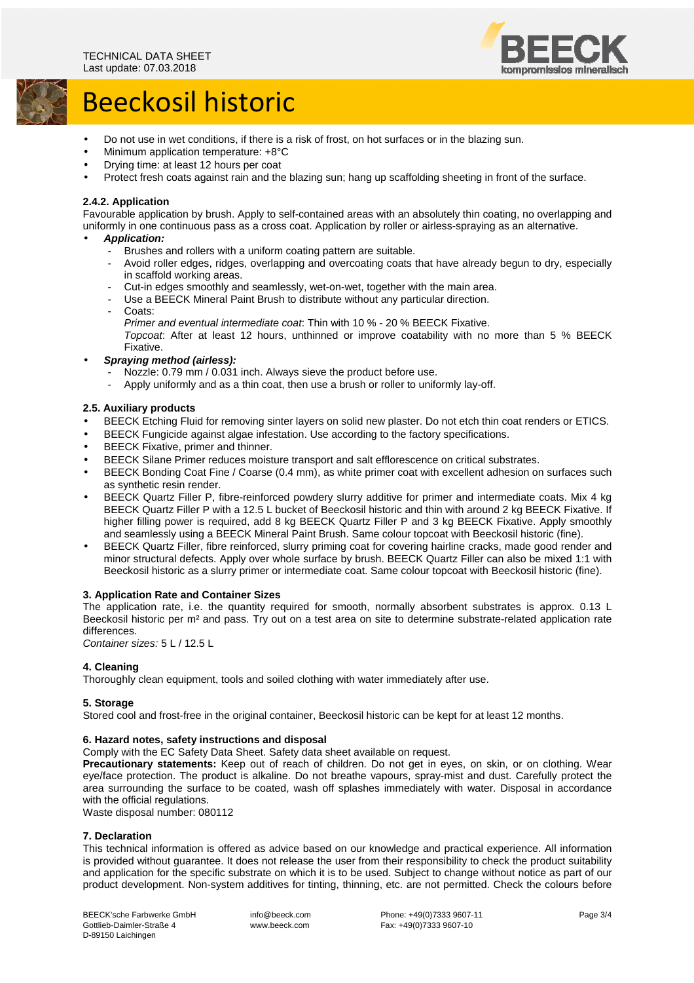

# Beeckosil historic

- Do not use in wet conditions, if there is a risk of frost, on hot surfaces or in the blazing sun.
- Minimum application temperature: +8°C
- Drying time: at least 12 hours per coat
- Protect fresh coats against rain and the blazing sun; hang up scaffolding sheeting in front of the surface.

# **2.4.2. Application**

Favourable application by brush. Apply to self-contained areas with an absolutely thin coating, no overlapping and uniformly in one continuous pass as a cross coat. Application by roller or airless-spraying as an alternative.

## • **Application:**

- Brushes and rollers with a uniform coating pattern are suitable.<br>- Avoid roller edges, ridges, overlapping and overcoating coats to
- Avoid roller edges, ridges, overlapping and overcoating coats that have already begun to dry, especially in scaffold working areas.
- Cut-in edges smoothly and seamlessly, wet-on-wet, together with the main area.
- Use a BEECK Mineral Paint Brush to distribute without any particular direction.
- Coats:
- Primer and eventual intermediate coat: Thin with 10 % 20 % BEECK Fixative.

Topcoat: After at least 12 hours, unthinned or improve coatability with no more than 5 % BEECK Fixative.

- **Spraying method (airless):** 
	- Nozzle: 0.79 mm / 0.031 inch. Always sieve the product before use.
	- Apply uniformly and as a thin coat, then use a brush or roller to uniformly lay-off.

## **2.5. Auxiliary products**

- BEECK Etching Fluid for removing sinter layers on solid new plaster. Do not etch thin coat renders or ETICS.
- BEECK Fungicide against algae infestation. Use according to the factory specifications.
- BEECK Fixative, primer and thinner.
- BEECK Silane Primer reduces moisture transport and salt efflorescence on critical substrates.
- BEECK Bonding Coat Fine / Coarse (0.4 mm), as white primer coat with excellent adhesion on surfaces such as synthetic resin render.
- BEECK Quartz Filler P, fibre-reinforced powdery slurry additive for primer and intermediate coats. Mix 4 kg BEECK Quartz Filler P with a 12.5 L bucket of Beeckosil historic and thin with around 2 kg BEECK Fixative. If higher filling power is required, add 8 kg BEECK Quartz Filler P and 3 kg BEECK Fixative. Apply smoothly and seamlessly using a BEECK Mineral Paint Brush. Same colour topcoat with Beeckosil historic (fine).
- BEECK Quartz Filler, fibre reinforced, slurry priming coat for covering hairline cracks, made good render and minor structural defects. Apply over whole surface by brush. BEECK Quartz Filler can also be mixed 1:1 with Beeckosil historic as a slurry primer or intermediate coat. Same colour topcoat with Beeckosil historic (fine).

# **3. Application Rate and Container Sizes**

The application rate, i.e. the quantity required for smooth, normally absorbent substrates is approx. 0.13 L Beeckosil historic per m² and pass. Try out on a test area on site to determine substrate-related application rate differences.

Container sizes: 5 L / 12.5 L

# **4. Cleaning**

Thoroughly clean equipment, tools and soiled clothing with water immediately after use.

### **5. Storage**

Stored cool and frost-free in the original container, Beeckosil historic can be kept for at least 12 months.

### **6. Hazard notes, safety instructions and disposal**

Comply with the EC Safety Data Sheet. Safety data sheet available on request.

**Precautionary statements:** Keep out of reach of children. Do not get in eyes, on skin, or on clothing. Wear eye/face protection. The product is alkaline. Do not breathe vapours, spray-mist and dust. Carefully protect the area surrounding the surface to be coated, wash off splashes immediately with water. Disposal in accordance with the official regulations.

Waste disposal number: 080112

## **7. Declaration**

This technical information is offered as advice based on our knowledge and practical experience. All information is provided without guarantee. It does not release the user from their responsibility to check the product suitability and application for the specific substrate on which it is to be used. Subject to change without notice as part of our product development. Non-system additives for tinting, thinning, etc. are not permitted. Check the colours before